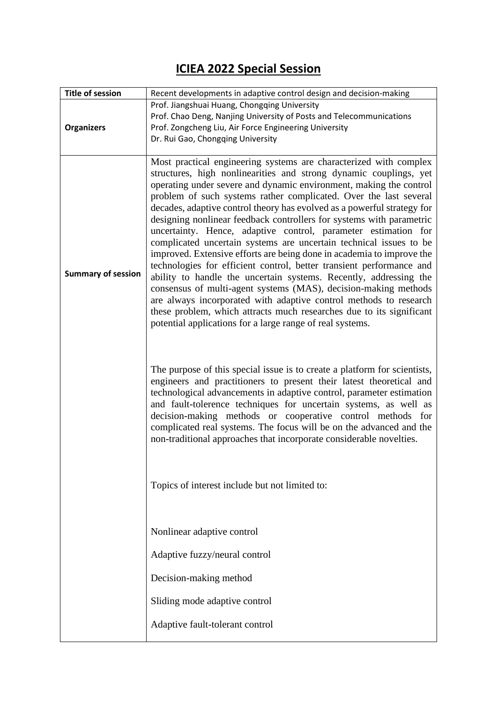## **ICIEA 2022 Special Session**

| <b>Title of session</b>   | Recent developments in adaptive control design and decision-making                                                                                                                                                                                                                                                                                                                                                                                                                                                                                                                                                                                                                                                                                                                                                                                                                                                                                                                                                                                                              |
|---------------------------|---------------------------------------------------------------------------------------------------------------------------------------------------------------------------------------------------------------------------------------------------------------------------------------------------------------------------------------------------------------------------------------------------------------------------------------------------------------------------------------------------------------------------------------------------------------------------------------------------------------------------------------------------------------------------------------------------------------------------------------------------------------------------------------------------------------------------------------------------------------------------------------------------------------------------------------------------------------------------------------------------------------------------------------------------------------------------------|
|                           | Prof. Jiangshuai Huang, Chongqing University<br>Prof. Chao Deng, Nanjing University of Posts and Telecommunications                                                                                                                                                                                                                                                                                                                                                                                                                                                                                                                                                                                                                                                                                                                                                                                                                                                                                                                                                             |
| <b>Organizers</b>         | Prof. Zongcheng Liu, Air Force Engineering University                                                                                                                                                                                                                                                                                                                                                                                                                                                                                                                                                                                                                                                                                                                                                                                                                                                                                                                                                                                                                           |
|                           | Dr. Rui Gao, Chongqing University                                                                                                                                                                                                                                                                                                                                                                                                                                                                                                                                                                                                                                                                                                                                                                                                                                                                                                                                                                                                                                               |
|                           |                                                                                                                                                                                                                                                                                                                                                                                                                                                                                                                                                                                                                                                                                                                                                                                                                                                                                                                                                                                                                                                                                 |
| <b>Summary of session</b> | Most practical engineering systems are characterized with complex<br>structures, high nonlinearities and strong dynamic couplings, yet<br>operating under severe and dynamic environment, making the control<br>problem of such systems rather complicated. Over the last several<br>decades, adaptive control theory has evolved as a powerful strategy for<br>designing nonlinear feedback controllers for systems with parametric<br>uncertainty. Hence, adaptive control, parameter estimation for<br>complicated uncertain systems are uncertain technical issues to be<br>improved. Extensive efforts are being done in academia to improve the<br>technologies for efficient control, better transient performance and<br>ability to handle the uncertain systems. Recently, addressing the<br>consensus of multi-agent systems (MAS), decision-making methods<br>are always incorporated with adaptive control methods to research<br>these problem, which attracts much researches due to its significant<br>potential applications for a large range of real systems. |
|                           | The purpose of this special issue is to create a platform for scientists,<br>engineers and practitioners to present their latest theoretical and<br>technological advancements in adaptive control, parameter estimation<br>and fault-tolerence techniques for uncertain systems, as well as<br>decision-making methods or cooperative control methods for<br>complicated real systems. The focus will be on the advanced and the<br>non-traditional approaches that incorporate considerable novelties.                                                                                                                                                                                                                                                                                                                                                                                                                                                                                                                                                                        |
|                           | Topics of interest include but not limited to:                                                                                                                                                                                                                                                                                                                                                                                                                                                                                                                                                                                                                                                                                                                                                                                                                                                                                                                                                                                                                                  |
|                           | Nonlinear adaptive control                                                                                                                                                                                                                                                                                                                                                                                                                                                                                                                                                                                                                                                                                                                                                                                                                                                                                                                                                                                                                                                      |
|                           | Adaptive fuzzy/neural control                                                                                                                                                                                                                                                                                                                                                                                                                                                                                                                                                                                                                                                                                                                                                                                                                                                                                                                                                                                                                                                   |
|                           | Decision-making method                                                                                                                                                                                                                                                                                                                                                                                                                                                                                                                                                                                                                                                                                                                                                                                                                                                                                                                                                                                                                                                          |
|                           | Sliding mode adaptive control                                                                                                                                                                                                                                                                                                                                                                                                                                                                                                                                                                                                                                                                                                                                                                                                                                                                                                                                                                                                                                                   |
|                           | Adaptive fault-tolerant control                                                                                                                                                                                                                                                                                                                                                                                                                                                                                                                                                                                                                                                                                                                                                                                                                                                                                                                                                                                                                                                 |